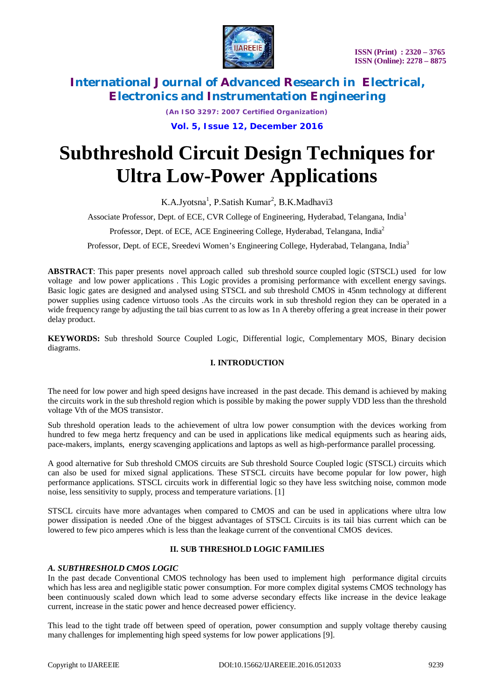

*(An ISO 3297: 2007 Certified Organization)*

**Vol. 5, Issue 12, December 2016**

# **Subthreshold Circuit Design Techniques for Ultra Low-Power Applications**

K.A.Jyotsna<sup>1</sup>, P.Satish Kumar<sup>2</sup>, B.K.Madhavi3

Associate Professor, Dept. of ECE, CVR College of Engineering, Hyderabad, Telangana, India<sup>1</sup>

Professor, Dept. of ECE, ACE Engineering College, Hyderabad, Telangana, India<sup>2</sup>

Professor, Dept. of ECE, Sreedevi Women's Engineering College, Hyderabad, Telangana, India<sup>3</sup>

**ABSTRACT**: This paper presents novel approach called sub threshold source coupled logic (STSCL) used for low voltage and low power applications . This Logic provides a promising performance with excellent energy savings. Basic logic gates are designed and analysed using STSCL and sub threshold CMOS in 45nm technology at different power supplies using cadence virtuoso tools .As the circuits work in sub threshold region they can be operated in a wide frequency range by adjusting the tail bias current to as low as 1n A thereby offering a great increase in their power delay product.

**KEYWORDS:** Sub threshold Source Coupled Logic, Differential logic, Complementary MOS, Binary decision diagrams.

### **I. INTRODUCTION**

The need for low power and high speed designs have increased in the past decade. This demand is achieved by making the circuits work in the sub threshold region which is possible by making the power supply VDD less than the threshold voltage Vth of the MOS transistor.

Sub threshold operation leads to the achievement of ultra low power consumption with the devices working from hundred to few mega hertz frequency and can be used in applications like medical equipments such as hearing aids, pace-makers, implants, energy scavenging applications and laptops as well as high-performance parallel processing.

A good alternative for Sub threshold CMOS circuits are Sub threshold Source Coupled logic (STSCL) circuits which can also be used for mixed signal applications. These STSCL circuits have become popular for low power, high performance applications. STSCL circuits work in differential logic so they have less switching noise, common mode noise, less sensitivity to supply, process and temperature variations. [1]

STSCL circuits have more advantages when compared to CMOS and can be used in applications where ultra low power dissipation is needed .One of the biggest advantages of STSCL Circuits is its tail bias current which can be lowered to few pico amperes which is less than the leakage current of the conventional CMOS devices.

### **II. SUB THRESHOLD LOGIC FAMILIES**

### *A. SUBTHRESHOLD CMOS LOGIC*

In the past decade Conventional CMOS technology has been used to implement high performance digital circuits which has less area and negligible static power consumption. For more complex digital systems CMOS technology has been continuously scaled down which lead to some adverse secondary effects like increase in the device leakage current, increase in the static power and hence decreased power efficiency.

This lead to the tight trade off between speed of operation, power consumption and supply voltage thereby causing many challenges for implementing high speed systems for low power applications [9].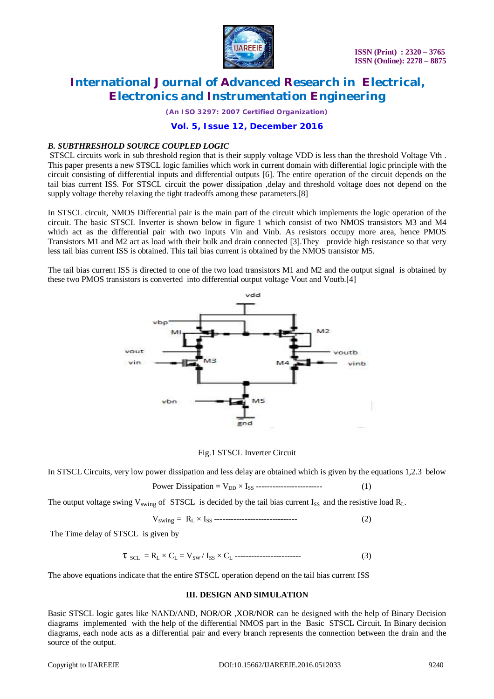

*(An ISO 3297: 2007 Certified Organization)*

### **Vol. 5, Issue 12, December 2016**

### *B. SUBTHRESHOLD SOURCE COUPLED LOGIC*

STSCL circuits work in sub threshold region that is their supply voltage VDD is less than the threshold Voltage Vth . This paper presents a new STSCL logic families which work in current domain with differential logic principle with the circuit consisting of differential inputs and differential outputs [6]. The entire operation of the circuit depends on the tail bias current ISS. For STSCL circuit the power dissipation ,delay and threshold voltage does not depend on the supply voltage thereby relaxing the tight tradeoffs among these parameters.[8]

In STSCL circuit, NMOS Differential pair is the main part of the circuit which implements the logic operation of the circuit. The basic STSCL Inverter is shown below in figure 1 which consist of two NMOS transistors M3 and M4 which act as the differential pair with two inputs Vin and Vinb. As resistors occupy more area, hence PMOS Transistors M1 and M2 act as load with their bulk and drain connected [3].They provide high resistance so that very less tail bias current ISS is obtained. This tail bias current is obtained by the NMOS transistor M5.

The tail bias current ISS is directed to one of the two load transistors M1 and M2 and the output signal is obtained by these two PMOS transistors is converted into differential output voltage Vout and Voutb.[4]



#### Fig.1 STSCL Inverter Circuit

In STSCL Circuits, very low power dissipation and less delay are obtained which is given by the equations 1,2.3 below

Power Dissipation = 
$$
V_{DD} \times I_{SS}
$$
 \n
$$
\tag{1}
$$

The output voltage swing  $V_{\text{swing}}$  of STSCL is decided by the tail bias current  $I_{SS}$  and the resistive load  $R_L$ .

$$
V_{\text{swing}} = R_{L} \times I_{SS} \dots \dots \dots \dots \dots \dots \dots \dots \dots \tag{2}
$$

The Time delay of STSCL is given by

$$
\tau_{\text{SCL}} = R_{\text{L}} \times C_{\text{L}} = V_{\text{SW}} / I_{\text{SS}} \times C_{\text{L}} \dots \dots \dots \dots \dots \dots \tag{3}
$$

The above equations indicate that the entire STSCL operation depend on the tail bias current ISS

#### **III. DESIGN AND SIMULATION**

Basic STSCL logic gates like NAND/AND, NOR/OR ,XOR/NOR can be designed with the help of Binary Decision diagrams implemented with the help of the differential NMOS part in the Basic STSCL Circuit. In Binary decision diagrams, each node acts as a differential pair and every branch represents the connection between the drain and the source of the output.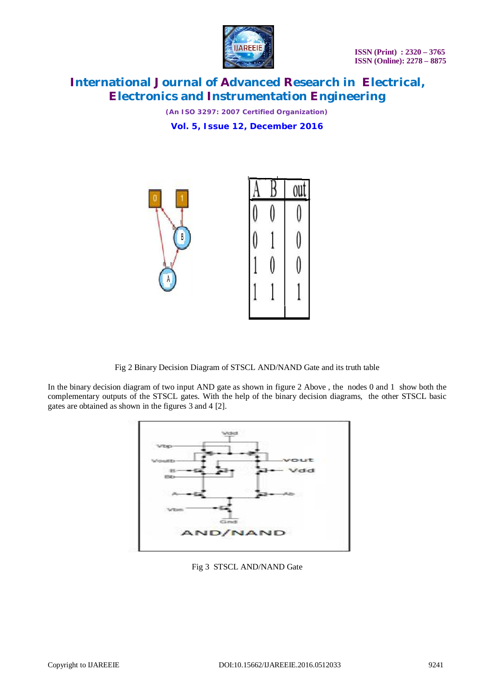

*(An ISO 3297: 2007 Certified Organization)* **Vol. 5, Issue 12, December 2016**



Fig 2 Binary Decision Diagram of STSCL AND/NAND Gate and its truth table

In the binary decision diagram of two input AND gate as shown in figure 2 Above , the nodes 0 and 1 show both the complementary outputs of the STSCL gates. With the help of the binary decision diagrams, the other STSCL basic gates are obtained as shown in the figures 3 and 4 [2].



Fig 3 STSCL AND/NAND Gate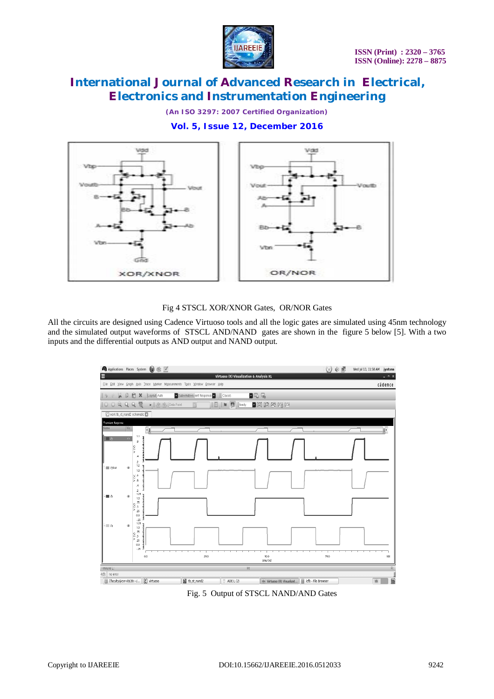

*(An ISO 3297: 2007 Certified Organization)*

**Vol. 5, Issue 12, December 2016**



Fig 4 STSCL XOR/XNOR Gates, OR/NOR Gates

All the circuits are designed using Cadence Virtuoso tools and all the logic gates are simulated using 45nm technology and the simulated output waveforms of STSCL AND/NAND gates are shown in the figure 5 below [5]. With a two inputs and the differential outputs as AND output and NAND output.



Fig. 5 Output of STSCL NAND/AND Gates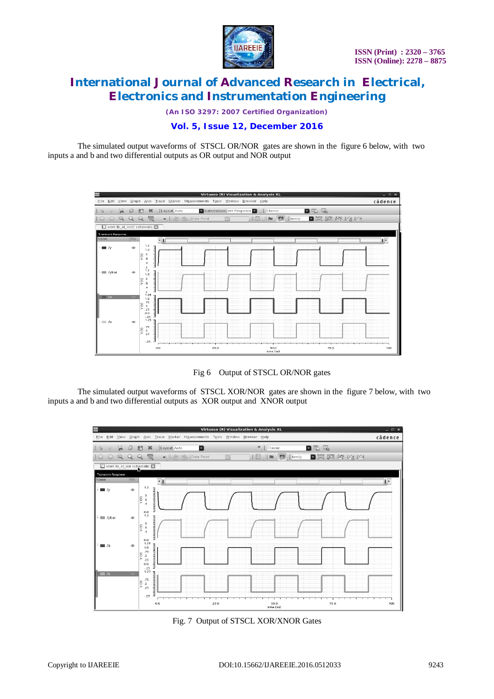

*(An ISO 3297: 2007 Certified Organization)*

### **Vol. 5, Issue 12, December 2016**

The simulated output waveforms of STSCL OR/NOR gates are shown in the figure 6 below, with two inputs a and b and two differential outputs as OR output and NOR output



Fig 6 Output of STSCL OR/NOR gates

The simulated output waveforms of STSCL XOR/NOR gates are shown in the figure 7 below, with two inputs a and b and two differential outputs as XOR output and XNOR output



Fig. 7 Output of STSCL XOR/XNOR Gates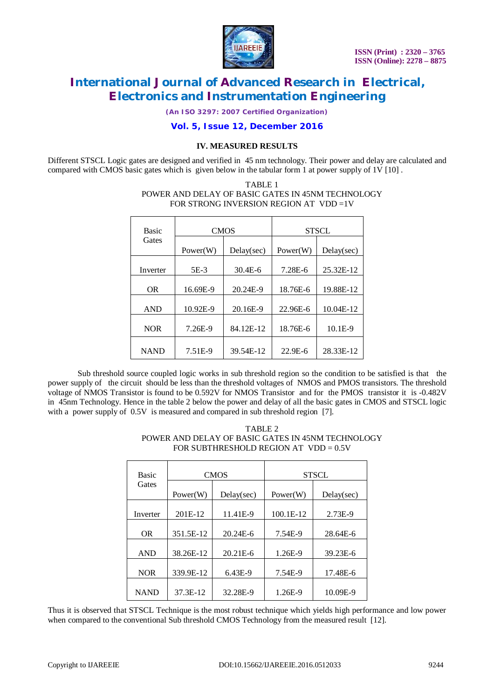

*(An ISO 3297: 2007 Certified Organization)*

### **Vol. 5, Issue 12, December 2016**

### **IV. MEASURED RESULTS**

Different STSCL Logic gates are designed and verified in 45 nm technology. Their power and delay are calculated and compared with CMOS basic gates which is given below in the tabular form 1 at power supply of 1V [10] .

#### TABLE 1 POWER AND DELAY OF BASIC GATES IN 45NM TECHNOLOGY FOR STRONG INVERSION REGION AT VDD =1V

| <b>Basic</b> | <b>CMOS</b> |             | <b>STSCL</b> |            |
|--------------|-------------|-------------|--------------|------------|
| Gates        | Power(W)    | Delay(sec)  | Power(W)     | Delay(sec) |
| Inverter     | 5E-3        | $30.4E - 6$ | 7.28E-6      | 25.32E-12  |
| OR.          | 16.69E-9    | 20.24E-9    | 18.76E-6     | 19.88E-12  |
| <b>AND</b>   | 10.92E-9    | 20.16E-9    | 22.96E-6     | 10.04E-12  |
| <b>NOR</b>   | 7.26E-9     | 84.12E-12   | 18.76E-6     | $10.1E-9$  |
| <b>NAND</b>  | 7.51E-9     | 39.54E-12   | $22.9E - 6$  | 28.33E-12  |

Sub threshold source coupled logic works in sub threshold region so the condition to be satisfied is that the power supply of the circuit should be less than the threshold voltages of NMOS and PMOS transistors. The threshold voltage of NMOS Transistor is found to be 0.592V for NMOS Transistor and for the PMOS transistor it is -0.482V in 45nm Technology. Hence in the table 2 below the power and delay of all the basic gates in CMOS and STSCL logic with a power supply of  $0.5V$  is measured and compared in sub threshold region [7].

| TABLE 2                                           |
|---------------------------------------------------|
| POWER AND DELAY OF BASIC GATES IN 45NM TECHNOLOGY |
| FOR SUBTHRESHOLD REGION AT $VDD = 0.5V$           |

| <b>Basic</b> | <b>CMOS</b> |              | <b>STSCL</b> |            |
|--------------|-------------|--------------|--------------|------------|
| Gates        | Power(W)    | Delay(sec)   | Power(W)     | Delay(sec) |
| Inverter     | 201E-12     | 11.41E-9     | 100.1E-12    | 2.73E-9    |
| <b>OR</b>    | 351.5E-12   | $20.24E - 6$ | 7.54E-9      | 28.64E-6   |
| <b>AND</b>   | 38.26E-12   | $20.21E-6$   | 1.26E-9      | 39.23E-6   |
| <b>NOR</b>   | 339.9E-12   | $6.43E-9$    | 7.54E-9      | 17.48E-6   |
| <b>NAND</b>  | 37.3E-12    | 32.28E-9     | 1.26E-9      | 10.09E-9   |

Thus it is observed that STSCL Technique is the most robust technique which yields high performance and low power when compared to the conventional Sub threshold CMOS Technology from the measured result [12].